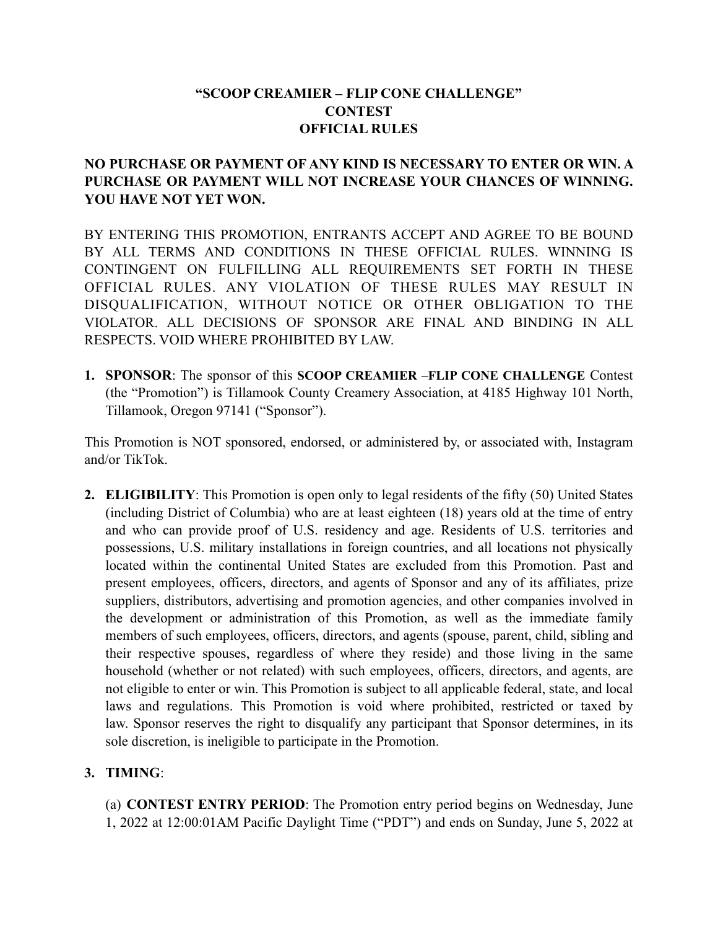# **"SCOOP CREAMIER – FLIP CONE CHALLENGE" CONTEST OFFICIAL RULES**

## **NO PURCHASE OR PAYMENT OF ANY KIND IS NECESSARY TO ENTER OR WIN. A PURCHASE OR PAYMENT WILL NOT INCREASE YOUR CHANCES OF WINNING. YOU HAVE NOT YET WON.**

BY ENTERING THIS PROMOTION, ENTRANTS ACCEPT AND AGREE TO BE BOUND BY ALL TERMS AND CONDITIONS IN THESE OFFICIAL RULES. WINNING IS CONTINGENT ON FULFILLING ALL REQUIREMENTS SET FORTH IN THESE OFFICIAL RULES. ANY VIOLATION OF THESE RULES MAY RESULT IN DISQUALIFICATION, WITHOUT NOTICE OR OTHER OBLIGATION TO THE VIOLATOR. ALL DECISIONS OF SPONSOR ARE FINAL AND BINDING IN ALL RESPECTS. VOID WHERE PROHIBITED BY LAW.

**1. SPONSOR**: The sponsor of this **SCOOP CREAMIER –FLIP CONE CHALLENGE** Contest (the "Promotion") is Tillamook County Creamery Association, at 4185 Highway 101 North, Tillamook, Oregon 97141 ("Sponsor").

This Promotion is NOT sponsored, endorsed, or administered by, or associated with, Instagram and/or TikTok.

**2. ELIGIBILITY**: This Promotion is open only to legal residents of the fifty (50) United States (including District of Columbia) who are at least eighteen (18) years old at the time of entry and who can provide proof of U.S. residency and age. Residents of U.S. territories and possessions, U.S. military installations in foreign countries, and all locations not physically located within the continental United States are excluded from this Promotion. Past and present employees, officers, directors, and agents of Sponsor and any of its affiliates, prize suppliers, distributors, advertising and promotion agencies, and other companies involved in the development or administration of this Promotion, as well as the immediate family members of such employees, officers, directors, and agents (spouse, parent, child, sibling and their respective spouses, regardless of where they reside) and those living in the same household (whether or not related) with such employees, officers, directors, and agents, are not eligible to enter or win. This Promotion is subject to all applicable federal, state, and local laws and regulations. This Promotion is void where prohibited, restricted or taxed by law. Sponsor reserves the right to disqualify any participant that Sponsor determines, in its sole discretion, is ineligible to participate in the Promotion.

#### **3. TIMING**:

(a) **CONTEST ENTRY PERIOD**: The Promotion entry period begins on Wednesday, June 1, 2022 at 12:00:01AM Pacific Daylight Time ("PDT") and ends on Sunday, June 5, 2022 at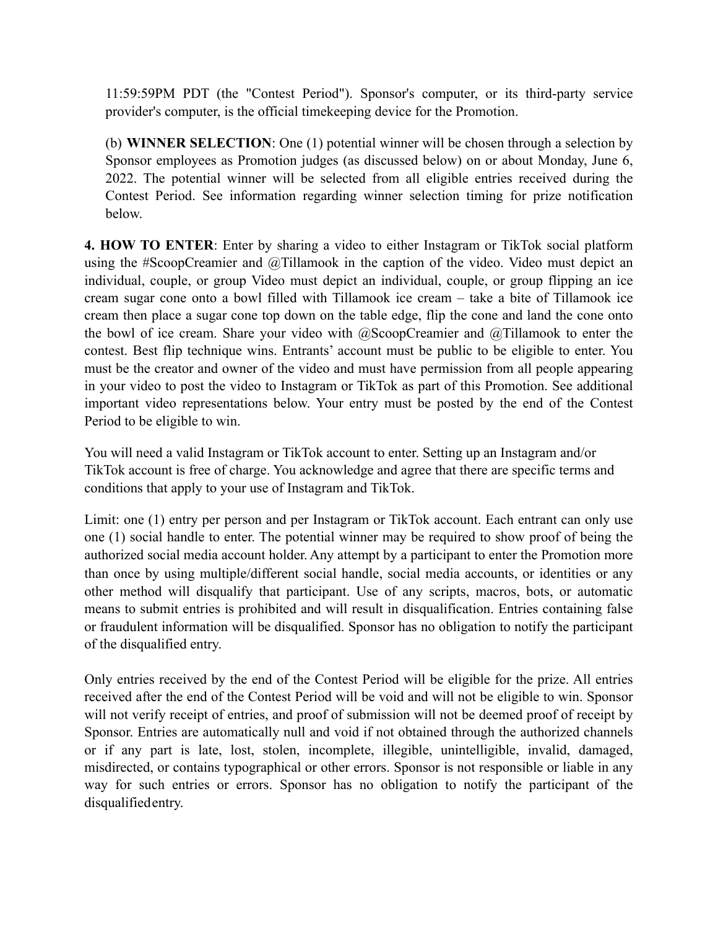11:59:59PM PDT (the "Contest Period"). Sponsor's computer, or its third-party service provider's computer, is the official timekeeping device for the Promotion.

(b) **WINNER SELECTION**: One (1) potential winner will be chosen through a selection by Sponsor employees as Promotion judges (as discussed below) on or about Monday, June 6, 2022. The potential winner will be selected from all eligible entries received during the Contest Period. See information regarding winner selection timing for prize notification below.

**4. HOW TO ENTER**: Enter by sharing a video to either Instagram or TikTok social platform using the #ScoopCreamier and @Tillamook in the caption of the video. Video must depict an individual, couple, or group Video must depict an individual, couple, or group flipping an ice cream sugar cone onto a bowl filled with Tillamook ice cream – take a bite of Tillamook ice cream then place a sugar cone top down on the table edge, flip the cone and land the cone onto the bowl of ice cream. Share your video with @ScoopCreamier and @Tillamook to enter the contest. Best flip technique wins. Entrants' account must be public to be eligible to enter. You must be the creator and owner of the video and must have permission from all people appearing in your video to post the video to Instagram or TikTok as part of this Promotion. See additional important video representations below. Your entry must be posted by the end of the Contest Period to be eligible to win.

You will need a valid Instagram or TikTok account to enter. Setting up an Instagram and/or TikTok account is free of charge. You acknowledge and agree that there are specific terms and conditions that apply to your use of Instagram and TikTok.

Limit: one (1) entry per person and per Instagram or TikTok account. Each entrant can only use one (1) social handle to enter. The potential winner may be required to show proof of being the authorized social media account holder. Any attempt by a participant to enter the Promotion more than once by using multiple/different social handle, social media accounts, or identities or any other method will disqualify that participant. Use of any scripts, macros, bots, or automatic means to submit entries is prohibited and will result in disqualification. Entries containing false or fraudulent information will be disqualified. Sponsor has no obligation to notify the participant of the disqualified entry.

Only entries received by the end of the Contest Period will be eligible for the prize. All entries received after the end of the Contest Period will be void and will not be eligible to win. Sponsor will not verify receipt of entries, and proof of submission will not be deemed proof of receipt by Sponsor. Entries are automatically null and void if not obtained through the authorized channels or if any part is late, lost, stolen, incomplete, illegible, unintelligible, invalid, damaged, misdirected, or contains typographical or other errors. Sponsor is not responsible or liable in any way for such entries or errors. Sponsor has no obligation to notify the participant of the disqualifiedentry.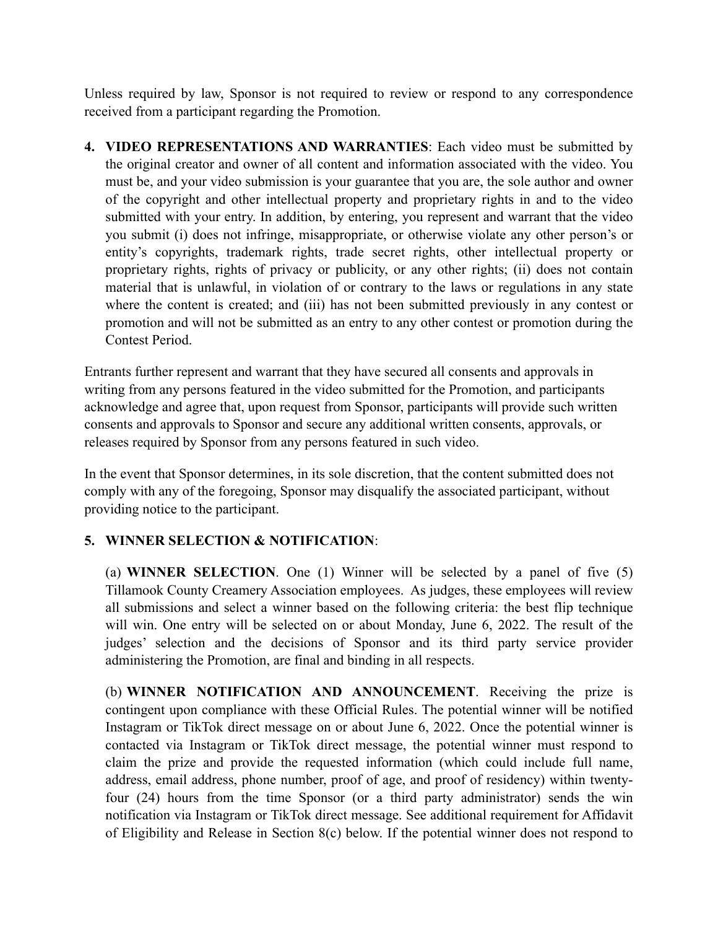Unless required by law, Sponsor is not required to review or respond to any correspondence received from a participant regarding the Promotion.

**4. VIDEO REPRESENTATIONS AND WARRANTIES**: Each video must be submitted by the original creator and owner of all content and information associated with the video. You must be, and your video submission is your guarantee that you are, the sole author and owner of the copyright and other intellectual property and proprietary rights in and to the video submitted with your entry. In addition, by entering, you represent and warrant that the video you submit (i) does not infringe, misappropriate, or otherwise violate any other person's or entity's copyrights, trademark rights, trade secret rights, other intellectual property or proprietary rights, rights of privacy or publicity, or any other rights; (ii) does not contain material that is unlawful, in violation of or contrary to the laws or regulations in any state where the content is created; and (iii) has not been submitted previously in any contest or promotion and will not be submitted as an entry to any other contest or promotion during the Contest Period.

Entrants further represent and warrant that they have secured all consents and approvals in writing from any persons featured in the video submitted for the Promotion, and participants acknowledge and agree that, upon request from Sponsor, participants will provide such written consents and approvals to Sponsor and secure any additional written consents, approvals, or releases required by Sponsor from any persons featured in such video.

In the event that Sponsor determines, in its sole discretion, that the content submitted does not comply with any of the foregoing, Sponsor may disqualify the associated participant, without providing notice to the participant.

# **5. WINNER SELECTION & NOTIFICATION**:

(a) **WINNER SELECTION**. One (1) Winner will be selected by a panel of five (5) Tillamook County Creamery Association employees. As judges, these employees will review all submissions and select a winner based on the following criteria: the best flip technique will win. One entry will be selected on or about Monday, June 6, 2022. The result of the judges' selection and the decisions of Sponsor and its third party service provider administering the Promotion, are final and binding in all respects.

(b) **WINNER NOTIFICATION AND ANNOUNCEMENT**. Receiving the prize is contingent upon compliance with these Official Rules. The potential winner will be notified Instagram or TikTok direct message on or about June 6, 2022. Once the potential winner is contacted via Instagram or TikTok direct message, the potential winner must respond to claim the prize and provide the requested information (which could include full name, address, email address, phone number, proof of age, and proof of residency) within twentyfour (24) hours from the time Sponsor (or a third party administrator) sends the win notification via Instagram or TikTok direct message. See additional requirement for Affidavit of Eligibility and Release in Section 8(c) below. If the potential winner does not respond to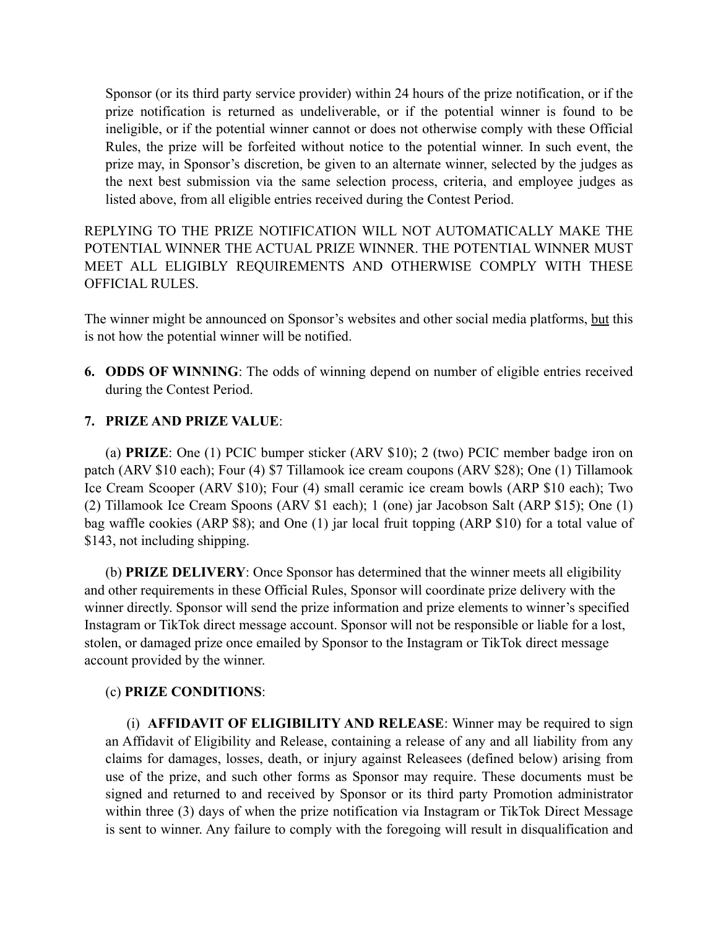Sponsor (or its third party service provider) within 24 hours of the prize notification, or if the prize notification is returned as undeliverable, or if the potential winner is found to be ineligible, or if the potential winner cannot or does not otherwise comply with these Official Rules, the prize will be forfeited without notice to the potential winner. In such event, the prize may, in Sponsor's discretion, be given to an alternate winner, selected by the judges as the next best submission via the same selection process, criteria, and employee judges as listed above, from all eligible entries received during the Contest Period.

REPLYING TO THE PRIZE NOTIFICATION WILL NOT AUTOMATICALLY MAKE THE POTENTIAL WINNER THE ACTUAL PRIZE WINNER. THE POTENTIAL WINNER MUST MEET ALL ELIGIBLY REQUIREMENTS AND OTHERWISE COMPLY WITH THESE OFFICIAL RULES.

The winner might be announced on Sponsor's websites and other social media platforms, but this is not how the potential winner will be notified.

**6. ODDS OF WINNING**: The odds of winning depend on number of eligible entries received during the Contest Period.

#### **7. PRIZE AND PRIZE VALUE**:

(a) **PRIZE**: One (1) PCIC bumper sticker (ARV \$10); 2 (two) PCIC member badge iron on patch (ARV \$10 each); Four (4) \$7 Tillamook ice cream coupons (ARV \$28); One (1) Tillamook Ice Cream Scooper (ARV \$10); Four (4) small ceramic ice cream bowls (ARP \$10 each); Two (2) Tillamook Ice Cream Spoons (ARV \$1 each); 1 (one) jar Jacobson Salt (ARP \$15); One (1) bag waffle cookies (ARP \$8); and One (1) jar local fruit topping (ARP \$10) for a total value of \$143, not including shipping.

(b) **PRIZE DELIVERY**: Once Sponsor has determined that the winner meets all eligibility and other requirements in these Official Rules, Sponsor will coordinate prize delivery with the winner directly. Sponsor will send the prize information and prize elements to winner's specified Instagram or TikTok direct message account. Sponsor will not be responsible or liable for a lost, stolen, or damaged prize once emailed by Sponsor to the Instagram or TikTok direct message account provided by the winner.

#### (c) **PRIZE CONDITIONS**:

(i) **AFFIDAVIT OF ELIGIBILITY AND RELEASE**: Winner may be required to sign an Affidavit of Eligibility and Release, containing a release of any and all liability from any claims for damages, losses, death, or injury against Releasees (defined below) arising from use of the prize, and such other forms as Sponsor may require. These documents must be signed and returned to and received by Sponsor or its third party Promotion administrator within three (3) days of when the prize notification via Instagram or TikTok Direct Message is sent to winner. Any failure to comply with the foregoing will result in disqualification and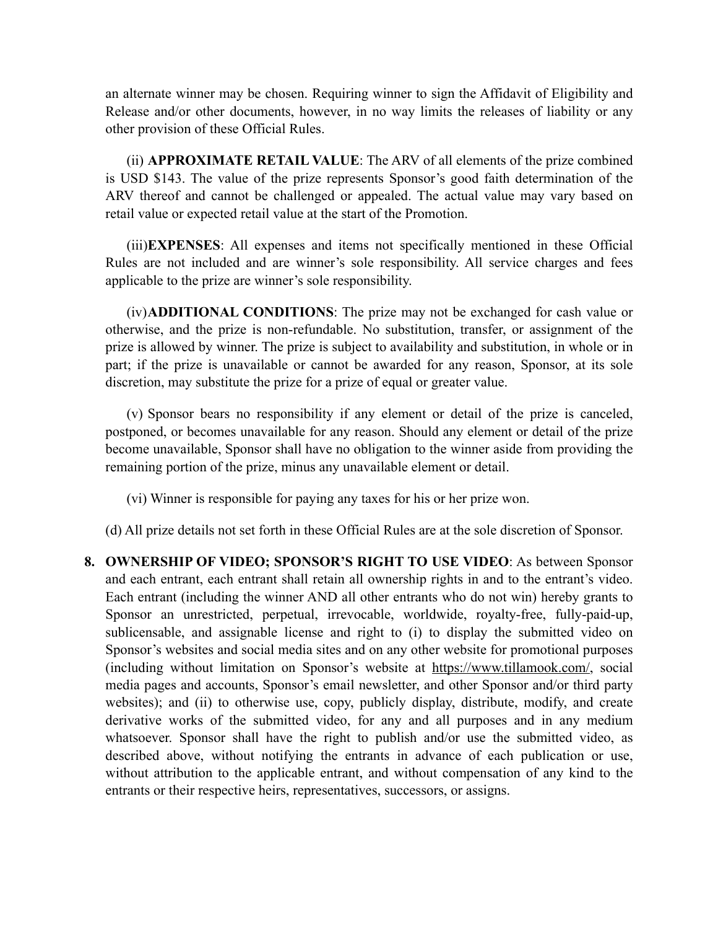an alternate winner may be chosen. Requiring winner to sign the Affidavit of Eligibility and Release and/or other documents, however, in no way limits the releases of liability or any other provision of these Official Rules.

(ii) **APPROXIMATE RETAIL VALUE**: The ARV of all elements of the prize combined is USD \$143. The value of the prize represents Sponsor's good faith determination of the ARV thereof and cannot be challenged or appealed. The actual value may vary based on retail value or expected retail value at the start of the Promotion.

(iii)**EXPENSES**: All expenses and items not specifically mentioned in these Official Rules are not included and are winner's sole responsibility. All service charges and fees applicable to the prize are winner's sole responsibility.

(iv)**ADDITIONAL CONDITIONS**: The prize may not be exchanged for cash value or otherwise, and the prize is non-refundable. No substitution, transfer, or assignment of the prize is allowed by winner. The prize is subject to availability and substitution, in whole or in part; if the prize is unavailable or cannot be awarded for any reason, Sponsor, at its sole discretion, may substitute the prize for a prize of equal or greater value.

(v) Sponsor bears no responsibility if any element or detail of the prize is canceled, postponed, or becomes unavailable for any reason. Should any element or detail of the prize become unavailable, Sponsor shall have no obligation to the winner aside from providing the remaining portion of the prize, minus any unavailable element or detail.

(vi) Winner is responsible for paying any taxes for his or her prize won.

(d) All prize details not set forth in these Official Rules are at the sole discretion of Sponsor.

**8. OWNERSHIP OF VIDEO; SPONSOR'S RIGHT TO USE VIDEO**: As between Sponsor and each entrant, each entrant shall retain all ownership rights in and to the entrant's video. Each entrant (including the winner AND all other entrants who do not win) hereby grants to Sponsor an unrestricted, perpetual, irrevocable, worldwide, royalty-free, fully-paid-up, sublicensable, and assignable license and right to (i) to display the submitted video on Sponsor's websites and social media sites and on any other website for promotional purposes (including without limitation on Sponsor's website at https://www.tillamook.com/, social media pages and accounts, Sponsor's email newsletter, and other Sponsor and/or third party websites); and (ii) to otherwise use, copy, publicly display, distribute, modify, and create derivative works of the submitted video, for any and all purposes and in any medium whatsoever. Sponsor shall have the right to publish and/or use the submitted video, as described above, without notifying the entrants in advance of each publication or use, without attribution to the applicable entrant, and without compensation of any kind to the entrants or their respective heirs, representatives, successors, or assigns.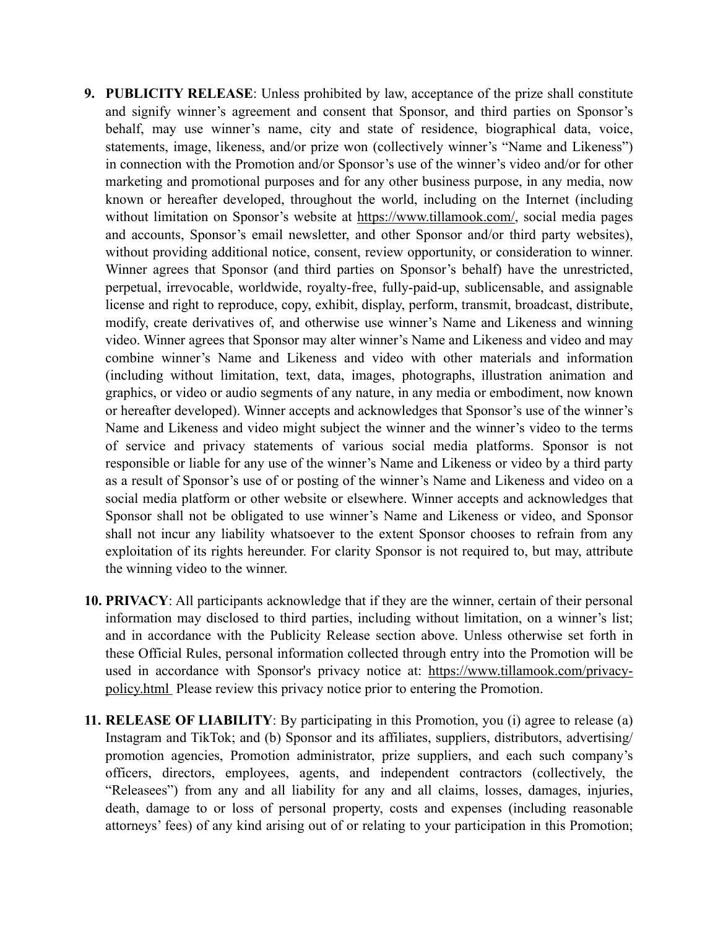- **9. PUBLICITY RELEASE**: Unless prohibited by law, acceptance of the prize shall constitute and signify winner's agreement and consent that Sponsor, and third parties on Sponsor's behalf, may use winner's name, city and state of residence, biographical data, voice, statements, image, likeness, and/or prize won (collectively winner's "Name and Likeness") in connection with the Promotion and/or Sponsor's use of the winner's video and/or for other marketing and promotional purposes and for any other business purpose, in any media, now known or hereafter developed, throughout the world, including on the Internet (including without limitation on Sponsor's website at https://www.tillamook.com/, social media pages and accounts, Sponsor's email newsletter, and other Sponsor and/or third party websites), without providing additional notice, consent, review opportunity, or consideration to winner. Winner agrees that Sponsor (and third parties on Sponsor's behalf) have the unrestricted, perpetual, irrevocable, worldwide, royalty-free, fully-paid-up, sublicensable, and assignable license and right to reproduce, copy, exhibit, display, perform, transmit, broadcast, distribute, modify, create derivatives of, and otherwise use winner's Name and Likeness and winning video. Winner agrees that Sponsor may alter winner's Name and Likeness and video and may combine winner's Name and Likeness and video with other materials and information (including without limitation, text, data, images, photographs, illustration animation and graphics, or video or audio segments of any nature, in any media or embodiment, now known or hereafter developed). Winner accepts and acknowledges that Sponsor's use of the winner's Name and Likeness and video might subject the winner and the winner's video to the terms of service and privacy statements of various social media platforms. Sponsor is not responsible or liable for any use of the winner's Name and Likeness or video by a third party as a result of Sponsor's use of or posting of the winner's Name and Likeness and video on a social media platform or other website or elsewhere. Winner accepts and acknowledges that Sponsor shall not be obligated to use winner's Name and Likeness or video, and Sponsor shall not incur any liability whatsoever to the extent Sponsor chooses to refrain from any exploitation of its rights hereunder. For clarity Sponsor is not required to, but may, attribute the winning video to the winner.
- **10. PRIVACY**: All participants acknowledge that if they are the winner, certain of their personal information may disclosed to third parties, including without limitation, on a winner's list; and in accordance with the Publicity Release section above. Unless otherwise set forth in these Official Rules, personal information collected through entry into the Promotion will be used in accordance with Sponsor's privacy notice at: [https://www.tillamook.com/privacy](https://www.tillamook.com/privacy-policy.html)[policy.html](https://www.tillamook.com/privacy-policy.html) Please review this privacy notice prior to entering the Promotion.
- **11. RELEASE OF LIABILITY**: By participating in this Promotion, you (i) agree to release (a) Instagram and TikTok; and (b) Sponsor and its affiliates, suppliers, distributors, advertising/ promotion agencies, Promotion administrator, prize suppliers, and each such company's officers, directors, employees, agents, and independent contractors (collectively, the "Releasees") from any and all liability for any and all claims, losses, damages, injuries, death, damage to or loss of personal property, costs and expenses (including reasonable attorneys' fees) of any kind arising out of or relating to your participation in this Promotion;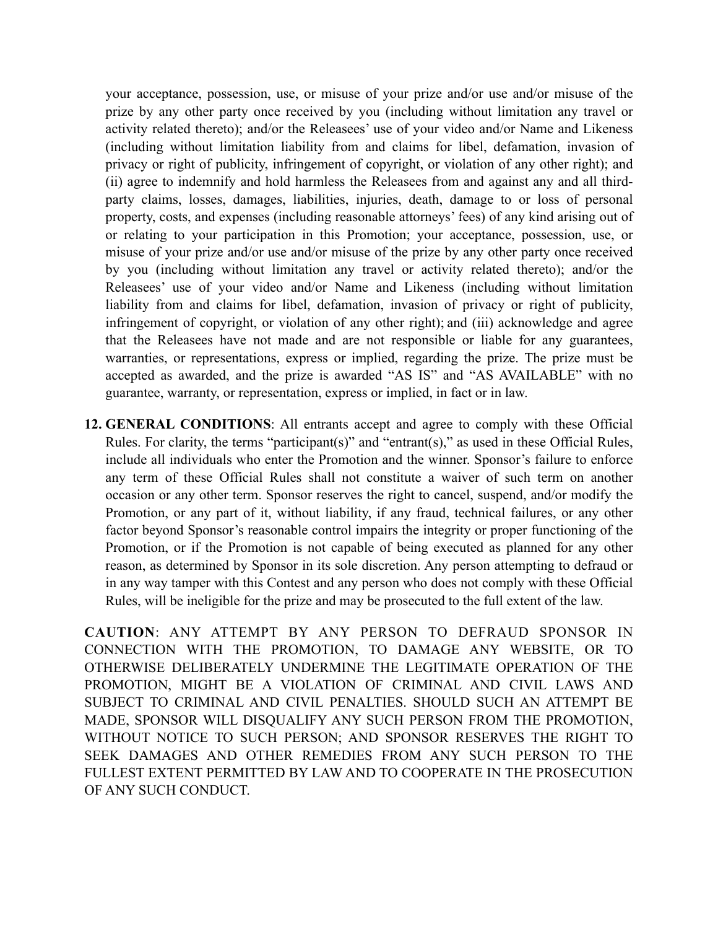your acceptance, possession, use, or misuse of your prize and/or use and/or misuse of the prize by any other party once received by you (including without limitation any travel or activity related thereto); and/or the Releasees' use of your video and/or Name and Likeness (including without limitation liability from and claims for libel, defamation, invasion of privacy or right of publicity, infringement of copyright, or violation of any other right); and (ii) agree to indemnify and hold harmless the Releasees from and against any and all thirdparty claims, losses, damages, liabilities, injuries, death, damage to or loss of personal property, costs, and expenses (including reasonable attorneys' fees) of any kind arising out of or relating to your participation in this Promotion; your acceptance, possession, use, or misuse of your prize and/or use and/or misuse of the prize by any other party once received by you (including without limitation any travel or activity related thereto); and/or the Releasees' use of your video and/or Name and Likeness (including without limitation liability from and claims for libel, defamation, invasion of privacy or right of publicity, infringement of copyright, or violation of any other right); and (iii) acknowledge and agree that the Releasees have not made and are not responsible or liable for any guarantees, warranties, or representations, express or implied, regarding the prize. The prize must be accepted as awarded, and the prize is awarded "AS IS" and "AS AVAILABLE" with no guarantee, warranty, or representation, express or implied, in fact or in law.

**12. GENERAL CONDITIONS**: All entrants accept and agree to comply with these Official Rules. For clarity, the terms "participant(s)" and "entrant(s)," as used in these Official Rules, include all individuals who enter the Promotion and the winner. Sponsor's failure to enforce any term of these Official Rules shall not constitute a waiver of such term on another occasion or any other term. Sponsor reserves the right to cancel, suspend, and/or modify the Promotion, or any part of it, without liability, if any fraud, technical failures, or any other factor beyond Sponsor's reasonable control impairs the integrity or proper functioning of the Promotion, or if the Promotion is not capable of being executed as planned for any other reason, as determined by Sponsor in its sole discretion. Any person attempting to defraud or in any way tamper with this Contest and any person who does not comply with these Official Rules, will be ineligible for the prize and may be prosecuted to the full extent of the law.

**CAUTION**: ANY ATTEMPT BY ANY PERSON TO DEFRAUD SPONSOR IN CONNECTION WITH THE PROMOTION, TO DAMAGE ANY WEBSITE, OR TO OTHERWISE DELIBERATELY UNDERMINE THE LEGITIMATE OPERATION OF THE PROMOTION, MIGHT BE A VIOLATION OF CRIMINAL AND CIVIL LAWS AND SUBJECT TO CRIMINAL AND CIVIL PENALTIES. SHOULD SUCH AN ATTEMPT BE MADE, SPONSOR WILL DISQUALIFY ANY SUCH PERSON FROM THE PROMOTION, WITHOUT NOTICE TO SUCH PERSON; AND SPONSOR RESERVES THE RIGHT TO SEEK DAMAGES AND OTHER REMEDIES FROM ANY SUCH PERSON TO THE FULLEST EXTENT PERMITTED BY LAW AND TO COOPERATE IN THE PROSECUTION OF ANY SUCH CONDUCT.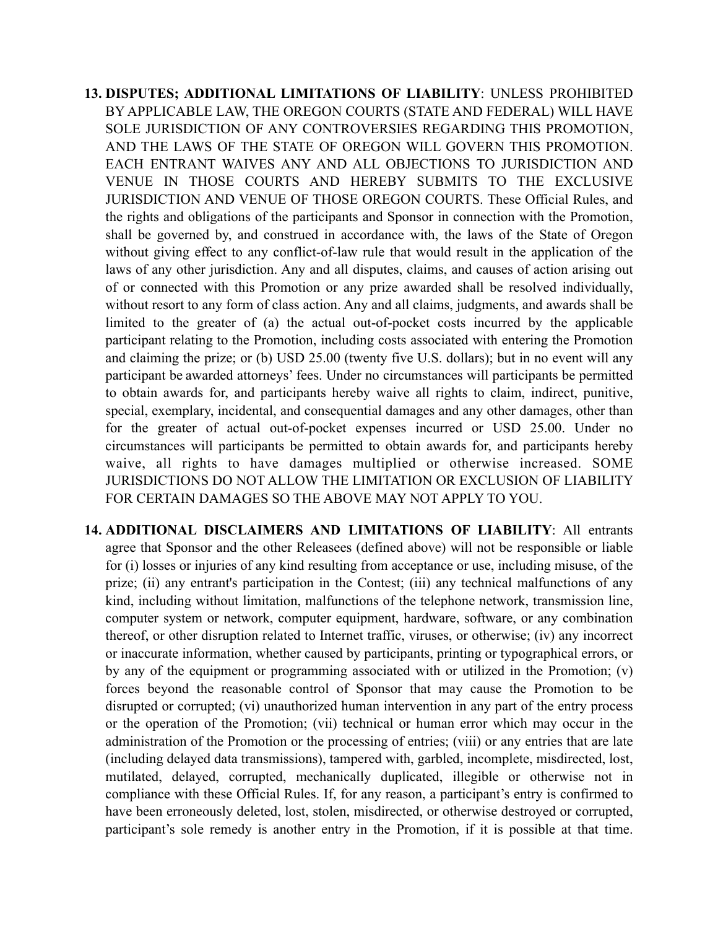- **13. DISPUTES; ADDITIONAL LIMITATIONS OF LIABILITY**: UNLESS PROHIBITED BY APPLICABLE LAW, THE OREGON COURTS (STATE AND FEDERAL) WILL HAVE SOLE JURISDICTION OF ANY CONTROVERSIES REGARDING THIS PROMOTION, AND THE LAWS OF THE STATE OF OREGON WILL GOVERN THIS PROMOTION. EACH ENTRANT WAIVES ANY AND ALL OBJECTIONS TO JURISDICTION AND VENUE IN THOSE COURTS AND HEREBY SUBMITS TO THE EXCLUSIVE JURISDICTION AND VENUE OF THOSE OREGON COURTS. These Official Rules, and the rights and obligations of the participants and Sponsor in connection with the Promotion, shall be governed by, and construed in accordance with, the laws of the State of Oregon without giving effect to any conflict-of-law rule that would result in the application of the laws of any other jurisdiction. Any and all disputes, claims, and causes of action arising out of or connected with this Promotion or any prize awarded shall be resolved individually, without resort to any form of class action. Any and all claims, judgments, and awards shall be limited to the greater of (a) the actual out-of-pocket costs incurred by the applicable participant relating to the Promotion, including costs associated with entering the Promotion and claiming the prize; or (b) USD 25.00 (twenty five U.S. dollars); but in no event will any participant be awarded attorneys' fees. Under no circumstances will participants be permitted to obtain awards for, and participants hereby waive all rights to claim, indirect, punitive, special, exemplary, incidental, and consequential damages and any other damages, other than for the greater of actual out-of-pocket expenses incurred or USD 25.00. Under no circumstances will participants be permitted to obtain awards for, and participants hereby waive, all rights to have damages multiplied or otherwise increased. SOME JURISDICTIONS DO NOT ALLOW THE LIMITATION OR EXCLUSION OF LIABILITY FOR CERTAIN DAMAGES SO THE ABOVE MAY NOT APPLY TO YOU.
- **14. ADDITIONAL DISCLAIMERS AND LIMITATIONS OF LIABILITY**: All entrants agree that Sponsor and the other Releasees (defined above) will not be responsible or liable for (i) losses or injuries of any kind resulting from acceptance or use, including misuse, of the prize; (ii) any entrant's participation in the Contest; (iii) any technical malfunctions of any kind, including without limitation, malfunctions of the telephone network, transmission line, computer system or network, computer equipment, hardware, software, or any combination thereof, or other disruption related to Internet traffic, viruses, or otherwise; (iv) any incorrect or inaccurate information, whether caused by participants, printing or typographical errors, or by any of the equipment or programming associated with or utilized in the Promotion; (v) forces beyond the reasonable control of Sponsor that may cause the Promotion to be disrupted or corrupted; (vi) unauthorized human intervention in any part of the entry process or the operation of the Promotion; (vii) technical or human error which may occur in the administration of the Promotion or the processing of entries; (viii) or any entries that are late (including delayed data transmissions), tampered with, garbled, incomplete, misdirected, lost, mutilated, delayed, corrupted, mechanically duplicated, illegible or otherwise not in compliance with these Official Rules. If, for any reason, a participant's entry is confirmed to have been erroneously deleted, lost, stolen, misdirected, or otherwise destroyed or corrupted, participant's sole remedy is another entry in the Promotion, if it is possible at that time.